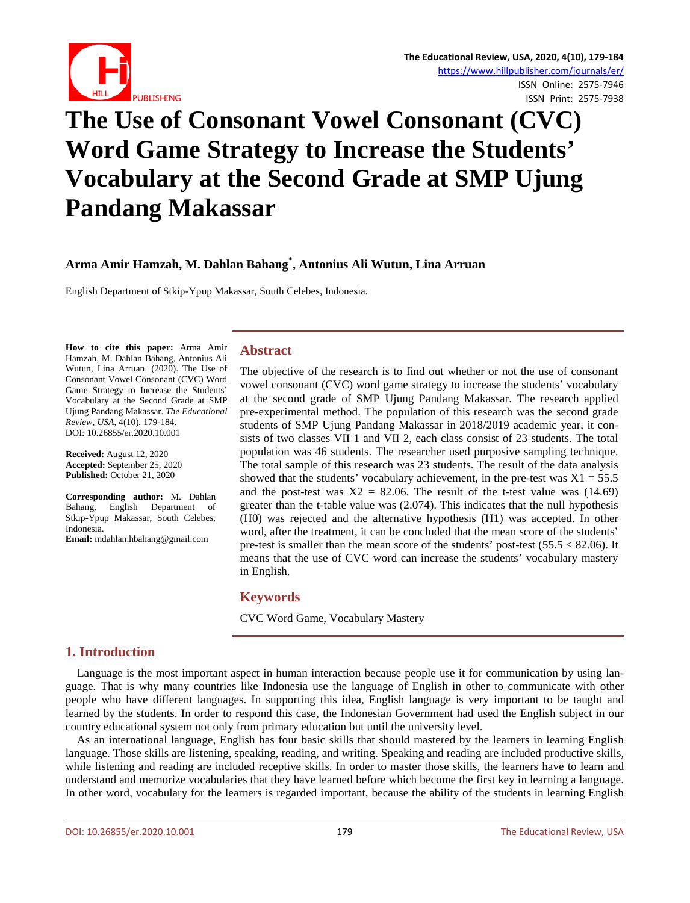

# **The Use of Consonant Vowel Consonant (CVC) Word Game Strategy to Increase the Students' Vocabulary at the Second Grade at SMP Ujung Pandang Makassar**

## **Arma Amir Hamzah, M. Dahlan Bahang\* , Antonius Ali Wutun, Lina Arruan**

English Department of Stkip-Ypup Makassar, South Celebes, Indonesia.

**How to cite this paper:** Arma Amir Hamzah, M. Dahlan Bahang, Antonius Ali Wutun, Lina Arruan. (2020). The Use of Consonant Vowel Consonant (CVC) Word Game Strategy to Increase the Students' Vocabulary at the Second Grade at SMP Ujung Pandang Makassar. *The Educational Review, USA*, 4(10), 179-184. DOI: 10.26855/er.2020.10.001

**Received:** August 12, 2020 **Accepted:** September 25, 2020 **Published:** October 21, 2020

**Corresponding author:** M. Dahlan Bahang, English Department of Stkip-Ypup Makassar, South Celebes, Indonesia.

**Email:** mdahlan.hbahang@gmail.com

## **Abstract**

The objective of the research is to find out whether or not the use of consonant vowel consonant (CVC) word game strategy to increase the students' vocabulary at the second grade of SMP Ujung Pandang Makassar. The research applied pre-experimental method. The population of this research was the second grade students of SMP Ujung Pandang Makassar in 2018/2019 academic year, it consists of two classes VII 1 and VII 2, each class consist of 23 students. The total population was 46 students. The researcher used purposive sampling technique. The total sample of this research was 23 students. The result of the data analysis showed that the students' vocabulary achievement, in the pre-test was  $X1 = 55.5$ and the post-test was  $X2 = 82.06$ . The result of the t-test value was (14.69) greater than the t-table value was (2.074). This indicates that the null hypothesis (H0) was rejected and the alternative hypothesis (H1) was accepted. In other word, after the treatment, it can be concluded that the mean score of the students' pre-test is smaller than the mean score of the students' post-test  $(55.5 < 82.06)$ . It means that the use of CVC word can increase the students' vocabulary mastery in English.

## **Keywords**

CVC Word Game, Vocabulary Mastery

## **1. Introduction**

Language is the most important aspect in human interaction because people use it for communication by using language. That is why many countries like Indonesia use the language of English in other to communicate with other people who have different languages. In supporting this idea, English language is very important to be taught and learned by the students. In order to respond this case, the Indonesian Government had used the English subject in our country educational system not only from primary education but until the university level.

As an international language, English has four basic skills that should mastered by the learners in learning English language. Those skills are listening, speaking, reading, and writing. Speaking and reading are included productive skills, while listening and reading are included receptive skills. In order to master those skills, the learners have to learn and understand and memorize vocabularies that they have learned before which become the first key in learning a language. In other word, vocabulary for the learners is regarded important, because the ability of the students in learning English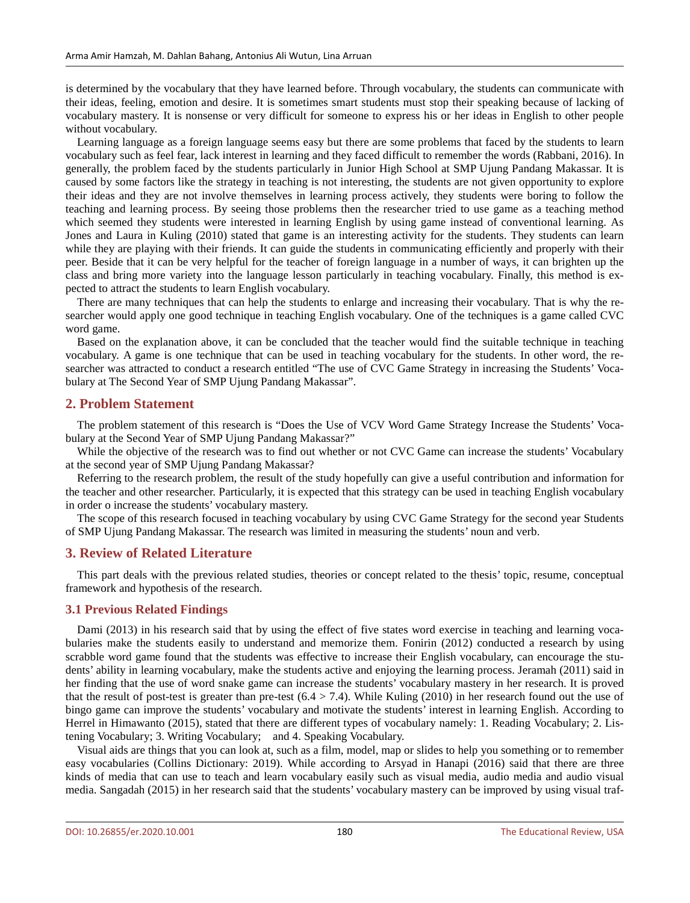is determined by the vocabulary that they have learned before. Through vocabulary, the students can communicate with their ideas, feeling, emotion and desire. It is sometimes smart students must stop their speaking because of lacking of vocabulary mastery. It is nonsense or very difficult for someone to express his or her ideas in English to other people without vocabulary.

Learning language as a foreign language seems easy but there are some problems that faced by the students to learn vocabulary such as feel fear, lack interest in learning and they faced difficult to remember the words (Rabbani, 2016). In generally, the problem faced by the students particularly in Junior High School at SMP Ujung Pandang Makassar. It is caused by some factors like the strategy in teaching is not interesting, the students are not given opportunity to explore their ideas and they are not involve themselves in learning process actively, they students were boring to follow the teaching and learning process. By seeing those problems then the researcher tried to use game as a teaching method which seemed they students were interested in learning English by using game instead of conventional learning. As Jones and Laura in Kuling (2010) stated that game is an interesting activity for the students. They students can learn while they are playing with their friends. It can guide the students in communicating efficiently and properly with their peer. Beside that it can be very helpful for the teacher of foreign language in a number of ways, it can brighten up the class and bring more variety into the language lesson particularly in teaching vocabulary. Finally, this method is expected to attract the students to learn English vocabulary.

There are many techniques that can help the students to enlarge and increasing their vocabulary. That is why the researcher would apply one good technique in teaching English vocabulary. One of the techniques is a game called CVC word game.

Based on the explanation above, it can be concluded that the teacher would find the suitable technique in teaching vocabulary. A game is one technique that can be used in teaching vocabulary for the students. In other word, the researcher was attracted to conduct a research entitled "The use of CVC Game Strategy in increasing the Students' Vocabulary at The Second Year of SMP Ujung Pandang Makassar".

## **2. Problem Statement**

The problem statement of this research is "Does the Use of VCV Word Game Strategy Increase the Students' Vocabulary at the Second Year of SMP Ujung Pandang Makassar?"

While the objective of the research was to find out whether or not CVC Game can increase the students' Vocabulary at the second year of SMP Ujung Pandang Makassar?

Referring to the research problem, the result of the study hopefully can give a useful contribution and information for the teacher and other researcher. Particularly, it is expected that this strategy can be used in teaching English vocabulary in order o increase the students' vocabulary mastery.

The scope of this research focused in teaching vocabulary by using CVC Game Strategy for the second year Students of SMP Ujung Pandang Makassar. The research was limited in measuring the students' noun and verb.

#### **3. Review of Related Literature**

This part deals with the previous related studies, theories or concept related to the thesis' topic, resume, conceptual framework and hypothesis of the research.

#### **3.1 Previous Related Findings**

Dami (2013) in his research said that by using the effect of five states word exercise in teaching and learning vocabularies make the students easily to understand and memorize them. Fonirin (2012) conducted a research by using scrabble word game found that the students was effective to increase their English vocabulary, can encourage the students' ability in learning vocabulary, make the students active and enjoying the learning process. Jeramah (2011) said in her finding that the use of word snake game can increase the students' vocabulary mastery in her research. It is proved that the result of post-test is greater than pre-test  $(6.4 > 7.4)$ . While Kuling (2010) in her research found out the use of bingo game can improve the students' vocabulary and motivate the students' interest in learning English. According to Herrel in Himawanto (2015), stated that there are different types of vocabulary namely: 1. Reading Vocabulary; 2. Listening Vocabulary; 3. Writing Vocabulary; and 4. Speaking Vocabulary.

Visual aids are things that you can look at, such as a film, model, map or slides to help you something or to remember easy vocabularies (Collins Dictionary: 2019). While according to Arsyad in Hanapi (2016) said that there are three kinds of media that can use to teach and learn vocabulary easily such as visual media, audio media and audio visual media. Sangadah (2015) in her research said that the students' vocabulary mastery can be improved by using visual traf-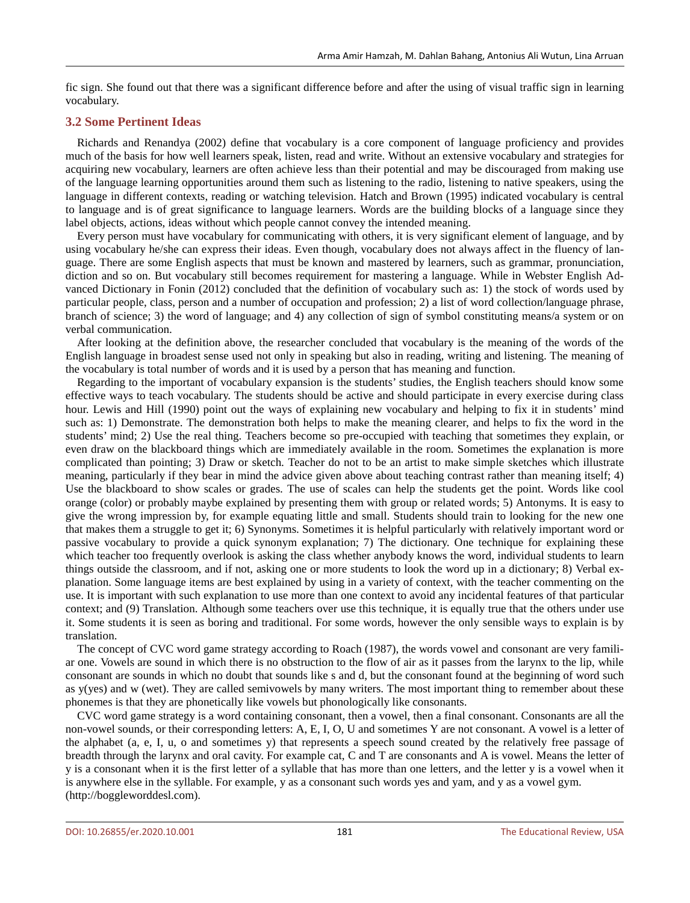fic sign. She found out that there was a significant difference before and after the using of visual traffic sign in learning vocabulary.

#### **3.2 Some Pertinent Ideas**

Richards and Renandya (2002) define that vocabulary is a core component of language proficiency and provides much of the basis for how well learners speak, listen, read and write. Without an extensive vocabulary and strategies for acquiring new vocabulary, learners are often achieve less than their potential and may be discouraged from making use of the language learning opportunities around them such as listening to the radio, listening to native speakers, using the language in different contexts, reading or watching television. Hatch and Brown (1995) indicated vocabulary is central to language and is of great significance to language learners. Words are the building blocks of a language since they label objects, actions, ideas without which people cannot convey the intended meaning.

Every person must have vocabulary for communicating with others, it is very significant element of language, and by using vocabulary he/she can express their ideas. Even though, vocabulary does not always affect in the fluency of language. There are some English aspects that must be known and mastered by learners, such as grammar, pronunciation, diction and so on. But vocabulary still becomes requirement for mastering a language. While in Webster English Advanced Dictionary in Fonin (2012) concluded that the definition of vocabulary such as: 1) the stock of words used by particular people, class, person and a number of occupation and profession; 2) a list of word collection/language phrase, branch of science; 3) the word of language; and 4) any collection of sign of symbol constituting means/a system or on verbal communication.

After looking at the definition above, the researcher concluded that vocabulary is the meaning of the words of the English language in broadest sense used not only in speaking but also in reading, writing and listening. The meaning of the vocabulary is total number of words and it is used by a person that has meaning and function.

Regarding to the important of vocabulary expansion is the students' studies, the English teachers should know some effective ways to teach vocabulary. The students should be active and should participate in every exercise during class hour. Lewis and Hill (1990) point out the ways of explaining new vocabulary and helping to fix it in students' mind such as: 1) Demonstrate. The demonstration both helps to make the meaning clearer, and helps to fix the word in the students' mind; 2) Use the real thing. Teachers become so pre-occupied with teaching that sometimes they explain, or even draw on the blackboard things which are immediately available in the room. Sometimes the explanation is more complicated than pointing; 3) Draw or sketch. Teacher do not to be an artist to make simple sketches which illustrate meaning, particularly if they bear in mind the advice given above about teaching contrast rather than meaning itself; 4) Use the blackboard to show scales or grades. The use of scales can help the students get the point. Words like cool orange (color) or probably maybe explained by presenting them with group or related words; 5) Antonyms. It is easy to give the wrong impression by, for example equating little and small. Students should train to looking for the new one that makes them a struggle to get it; 6) Synonyms. Sometimes it is helpful particularly with relatively important word or passive vocabulary to provide a quick synonym explanation; 7) The dictionary. One technique for explaining these which teacher too frequently overlook is asking the class whether anybody knows the word, individual students to learn things outside the classroom, and if not, asking one or more students to look the word up in a dictionary; 8) Verbal explanation. Some language items are best explained by using in a variety of context, with the teacher commenting on the use. It is important with such explanation to use more than one context to avoid any incidental features of that particular context; and (9) Translation. Although some teachers over use this technique, it is equally true that the others under use it. Some students it is seen as boring and traditional. For some words, however the only sensible ways to explain is by translation.

The concept of CVC word game strategy according to Roach (1987), the words vowel and consonant are very familiar one. Vowels are sound in which there is no obstruction to the flow of air as it passes from the larynx to the lip, while consonant are sounds in which no doubt that sounds like s and d, but the consonant found at the beginning of word such as y(yes) and w (wet). They are called semivowels by many writers. The most important thing to remember about these phonemes is that they are phonetically like vowels but phonologically like consonants.

CVC word game strategy is a word containing consonant, then a vowel, then a final consonant. Consonants are all the non-vowel sounds, or their corresponding letters: A, E, I, O, U and sometimes Y are not consonant. A vowel is a letter of the alphabet (a, e, I, u, o and sometimes y) that represents a speech sound created by the relatively free passage of breadth through the larynx and oral cavity. For example cat, C and T are consonants and A is vowel. Means the letter of y is a consonant when it is the first letter of a syllable that has more than one letters, and the letter y is a vowel when it is anywhere else in the syllable. For example, y as a consonant such words yes and yam, and y as a vowel gym. (http://boggleworddesl.com).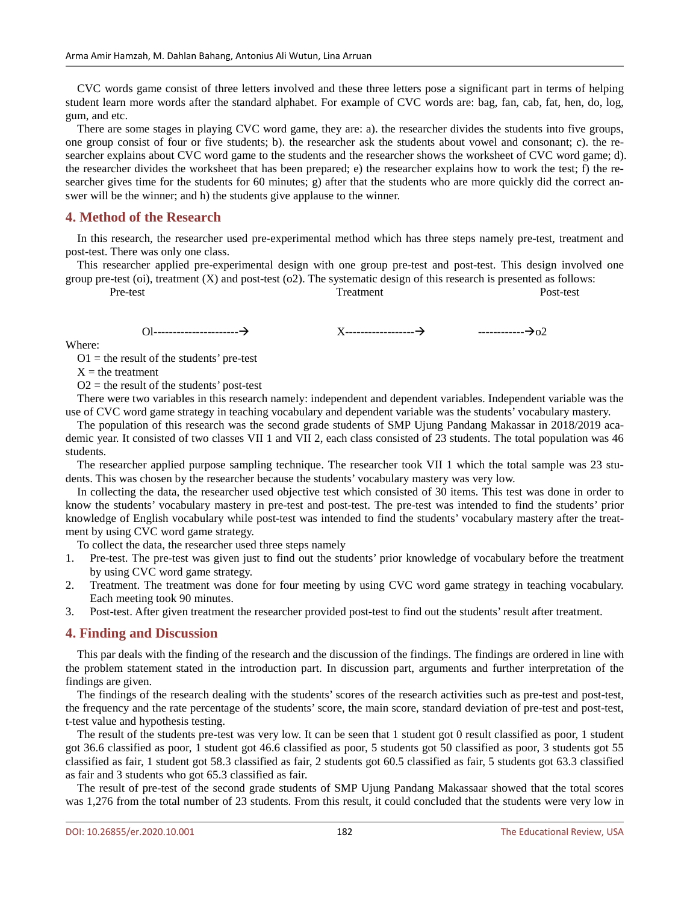CVC words game consist of three letters involved and these three letters pose a significant part in terms of helping student learn more words after the standard alphabet. For example of CVC words are: bag, fan, cab, fat, hen, do, log, gum, and etc.

There are some stages in playing CVC word game, they are: a). the researcher divides the students into five groups, one group consist of four or five students; b). the researcher ask the students about vowel and consonant; c). the researcher explains about CVC word game to the students and the researcher shows the worksheet of CVC word game; d). the researcher divides the worksheet that has been prepared; e) the researcher explains how to work the test; f) the researcher gives time for the students for 60 minutes; g) after that the students who are more quickly did the correct answer will be the winner; and h) the students give applause to the winner.

## **4. Method of the Research**

In this research, the researcher used pre-experimental method which has three steps namely pre-test, treatment and post-test. There was only one class.

This researcher applied pre-experimental design with one group pre-test and post-test. This design involved one group pre-test (oi), treatment  $(X)$  and post-test (o2). The systematic design of this research is presented as follows:

| . . | _test<br>DπΩ<br>ີ<br>. |  | <u>тт</u><br><b>Search</b><br>∩ല<br>. | -- | -tect<br>P∩et.<br>icsi<br>. |
|-----|------------------------|--|---------------------------------------|----|-----------------------------|
|     |                        |  |                                       |    |                             |

Ol---------------------- X------------------ ------------o2

Where:

 $O1$  = the result of the students' pre-test

 $X =$  the treatment

 $O2$  = the result of the students' post-test

There were two variables in this research namely: independent and dependent variables. Independent variable was the use of CVC word game strategy in teaching vocabulary and dependent variable was the students' vocabulary mastery.

The population of this research was the second grade students of SMP Ujung Pandang Makassar in 2018/2019 academic year. It consisted of two classes VII 1 and VII 2, each class consisted of 23 students. The total population was 46 students.

The researcher applied purpose sampling technique. The researcher took VII 1 which the total sample was 23 students. This was chosen by the researcher because the students' vocabulary mastery was very low.

In collecting the data, the researcher used objective test which consisted of 30 items. This test was done in order to know the students' vocabulary mastery in pre-test and post-test. The pre-test was intended to find the students' prior knowledge of English vocabulary while post-test was intended to find the students' vocabulary mastery after the treatment by using CVC word game strategy.

To collect the data, the researcher used three steps namely

- 1. Pre-test. The pre-test was given just to find out the students' prior knowledge of vocabulary before the treatment by using CVC word game strategy.
- 2. Treatment. The treatment was done for four meeting by using CVC word game strategy in teaching vocabulary. Each meeting took 90 minutes.
- 3. Post-test. After given treatment the researcher provided post-test to find out the students' result after treatment.

## **4. Finding and Discussion**

This par deals with the finding of the research and the discussion of the findings. The findings are ordered in line with the problem statement stated in the introduction part. In discussion part, arguments and further interpretation of the findings are given.

The findings of the research dealing with the students' scores of the research activities such as pre-test and post-test, the frequency and the rate percentage of the students' score, the main score, standard deviation of pre-test and post-test, t-test value and hypothesis testing.

The result of the students pre-test was very low. It can be seen that 1 student got 0 result classified as poor, 1 student got 36.6 classified as poor, 1 student got 46.6 classified as poor, 5 students got 50 classified as poor, 3 students got 55 classified as fair, 1 student got 58.3 classified as fair, 2 students got 60.5 classified as fair, 5 students got 63.3 classified as fair and 3 students who got 65.3 classified as fair.

The result of pre-test of the second grade students of SMP Ujung Pandang Makassaar showed that the total scores was 1,276 from the total number of 23 students. From this result, it could concluded that the students were very low in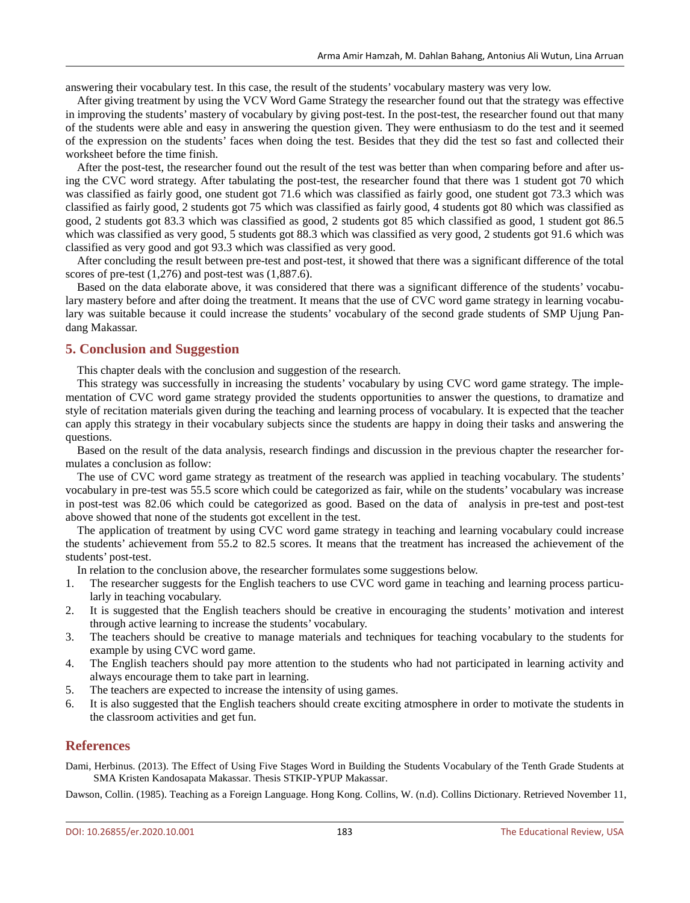answering their vocabulary test. In this case, the result of the students' vocabulary mastery was very low.

After giving treatment by using the VCV Word Game Strategy the researcher found out that the strategy was effective in improving the students' mastery of vocabulary by giving post-test. In the post-test, the researcher found out that many of the students were able and easy in answering the question given. They were enthusiasm to do the test and it seemed of the expression on the students' faces when doing the test. Besides that they did the test so fast and collected their worksheet before the time finish.

After the post-test, the researcher found out the result of the test was better than when comparing before and after using the CVC word strategy. After tabulating the post-test, the researcher found that there was 1 student got 70 which was classified as fairly good, one student got 71.6 which was classified as fairly good, one student got 73.3 which was classified as fairly good, 2 students got 75 which was classified as fairly good, 4 students got 80 which was classified as good, 2 students got 83.3 which was classified as good, 2 students got 85 which classified as good, 1 student got 86.5 which was classified as very good, 5 students got 88.3 which was classified as very good, 2 students got 91.6 which was classified as very good and got 93.3 which was classified as very good.

After concluding the result between pre-test and post-test, it showed that there was a significant difference of the total scores of pre-test (1,276) and post-test was (1,887.6).

Based on the data elaborate above, it was considered that there was a significant difference of the students' vocabulary mastery before and after doing the treatment. It means that the use of CVC word game strategy in learning vocabulary was suitable because it could increase the students' vocabulary of the second grade students of SMP Ujung Pandang Makassar.

## **5. Conclusion and Suggestion**

This chapter deals with the conclusion and suggestion of the research.

This strategy was successfully in increasing the students' vocabulary by using CVC word game strategy. The implementation of CVC word game strategy provided the students opportunities to answer the questions, to dramatize and style of recitation materials given during the teaching and learning process of vocabulary. It is expected that the teacher can apply this strategy in their vocabulary subjects since the students are happy in doing their tasks and answering the questions.

Based on the result of the data analysis, research findings and discussion in the previous chapter the researcher formulates a conclusion as follow:

The use of CVC word game strategy as treatment of the research was applied in teaching vocabulary. The students' vocabulary in pre-test was 55.5 score which could be categorized as fair, while on the students' vocabulary was increase in post-test was 82.06 which could be categorized as good. Based on the data of analysis in pre-test and post-test above showed that none of the students got excellent in the test.

The application of treatment by using CVC word game strategy in teaching and learning vocabulary could increase the students' achievement from 55.2 to 82.5 scores. It means that the treatment has increased the achievement of the students' post-test.

In relation to the conclusion above, the researcher formulates some suggestions below.

- 1. The researcher suggests for the English teachers to use CVC word game in teaching and learning process particularly in teaching vocabulary.
- 2. It is suggested that the English teachers should be creative in encouraging the students' motivation and interest through active learning to increase the students' vocabulary.
- 3. The teachers should be creative to manage materials and techniques for teaching vocabulary to the students for example by using CVC word game.
- 4. The English teachers should pay more attention to the students who had not participated in learning activity and always encourage them to take part in learning.
- 5. The teachers are expected to increase the intensity of using games.
- 6. It is also suggested that the English teachers should create exciting atmosphere in order to motivate the students in the classroom activities and get fun.

## **References**

Dami, Herbinus. (2013). The Effect of Using Five Stages Word in Building the Students Vocabulary of the Tenth Grade Students at SMA Kristen Kandosapata Makassar. Thesis STKIP-YPUP Makassar.

Dawson, Collin. (1985). Teaching as a Foreign Language. Hong Kong. Collins, W. (n.d). Collins Dictionary. Retrieved November 11,